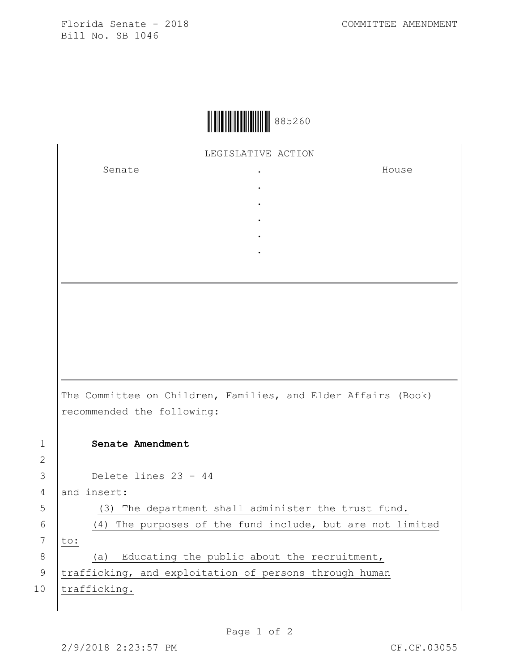Florida Senate - 2018 COMMITTEE AMENDMENT Bill No. SB 1046



LEGISLATIVE ACTION

. . . . .

Senate .

House

The Committee on Children, Families, and Elder Affairs (Book) recommended the following: 1 **Senate Amendment**  3 Delete lines 23 - 44 4 and insert: 5 (3) The department shall administer the trust fund. 6 (4) The purposes of the fund include, but are not limited  $7$  to: 8 (a) Educating the public about the recruitment,

9 | trafficking, and exploitation of persons through human 10 trafficking.

2